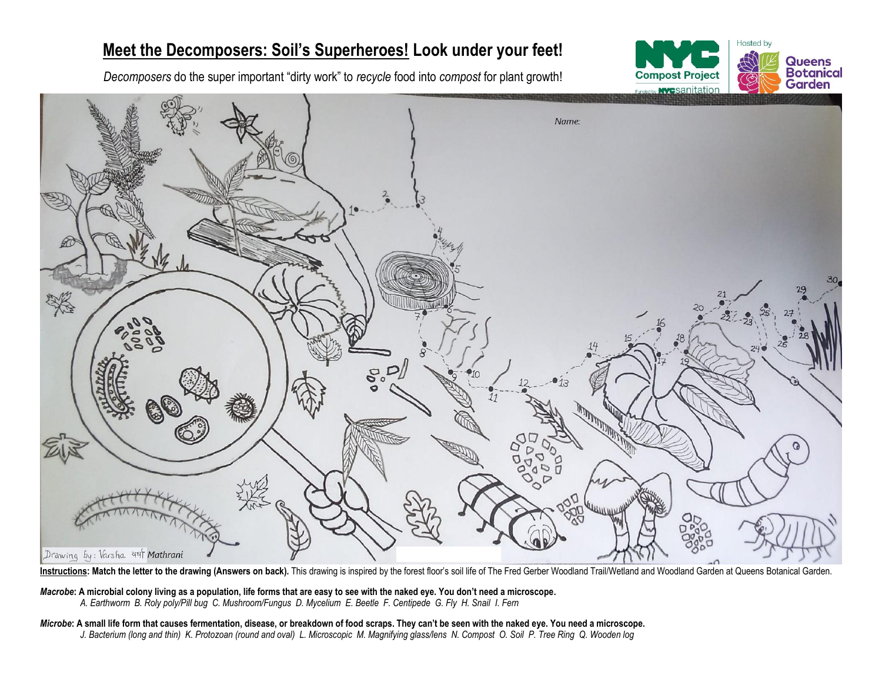## **Meet the Decomposers: Soil's Superheroes! Look under your feet!**

*Decomposers* do the super important "dirty work" to *recycle* food into *compost* for plant growth!





Instructions: Match the letter to the drawing (Answers on back). This drawing is inspired by the forest floor's soil life of The Fred Gerber Woodland Trail/Wetland and Woodland Garden at Queens Botanical Garden.

*Macrobe***: A microbial colony living as a population, life forms that are easy to see with the naked eye. You don't need a microscope.** *A. Earthworm B. Roly poly/Pill bug C. Mushroom/Fungus D. Mycelium E. Beetle F. Centipede G. Fly H. Snail I. Fern*

*Microbe***: A small life form that causes fermentation, disease, or breakdown of food scraps. They can't be seen with the naked eye. You need a microscope.** *J. Bacterium (long and thin) K. Protozoan (round and oval) L. Microscopic M. Magnifying glass/lens N. Compost O. Soil P. Tree Ring Q. Wooden log*